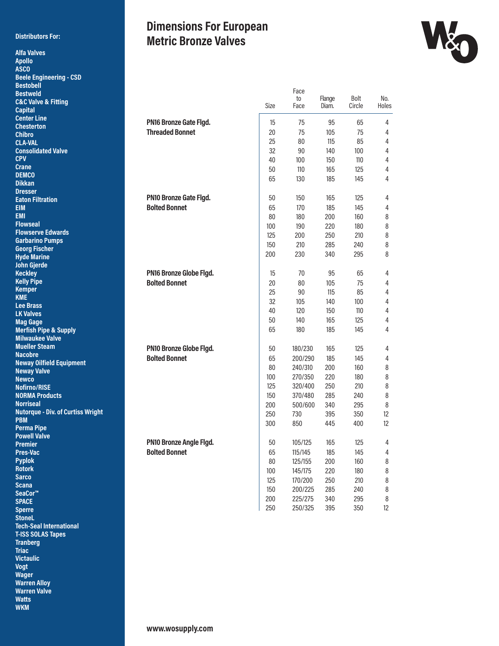#### **Distributors For:**

**Alfa Valves Apollo ASCO**

## **Dimensions For European Metric Bronze Valves**



| <b>Beele Engineering - CSD</b>           |                         |      |         |                 |        |       |
|------------------------------------------|-------------------------|------|---------|-----------------|--------|-------|
| <b>Bestobell</b>                         |                         |      |         |                 |        |       |
| <b>Bestweld</b>                          |                         |      | Face    |                 |        |       |
| <b>C&amp;C Valve &amp; Fitting</b>       |                         |      | to      | Flange<br>Diam. | Bolt   | No.   |
| <b>Capital</b>                           |                         | Size | Face    |                 | Circle | Holes |
| <b>Center Line</b>                       |                         |      |         |                 |        |       |
| <b>Chesterton</b>                        | PN16 Bronze Gate Flgd.  | 15   | 75      | 95              | 65     | 4     |
| <b>Chibro</b>                            | <b>Threaded Bonnet</b>  | 20   | 75      | 105             | 75     | 4     |
| <b>CLA-VAL</b>                           |                         | 25   | 80      | 115             | 85     | 4     |
| <b>Consolidated Valve</b>                |                         | 32   | 90      | 140             | 100    | 4     |
| <b>CPV</b>                               |                         | 40   | 100     | 150             | 110    | 4     |
| <b>Crane</b>                             |                         | 50   | 110     |                 |        |       |
| <b>DEMCO</b>                             |                         |      |         | 165             | 125    | 4     |
| <b>Dikkan</b>                            |                         | 65   | 130     | 185             | 145    | 4     |
| <b>Dresser</b>                           |                         |      |         |                 |        |       |
| <b>Eaton Filtration</b>                  | PN10 Bronze Gate Flgd.  | 50   | 150     | 165             | 125    | 4     |
| <b>EIM</b>                               | <b>Bolted Bonnet</b>    | 65   | 170     | 185             | 145    | 4     |
| <b>EMI</b>                               |                         | 80   | 180     | 200             | 160    | 8     |
| <b>Flowseal</b>                          |                         |      |         |                 |        |       |
| <b>Flowserve Edwards</b>                 |                         | 100  | 190     | 220             | 180    | 8     |
| <b>Garbarino Pumps</b>                   |                         | 125  | 200     | 250             | 210    | 8     |
| <b>Georg Fischer</b>                     |                         | 150  | 210     | 285             | 240    | 8     |
| <b>Hyde Marine</b>                       |                         | 200  | 230     | 340             | 295    | 8     |
| <b>John Gjerde</b>                       |                         |      |         |                 |        |       |
| <b>Keckley</b>                           | PN16 Bronze Globe Flgd. | 15   | 70      | 95              | 65     | 4     |
| <b>Kelly Pipe</b>                        |                         |      |         |                 |        |       |
| <b>Kemper</b>                            | <b>Bolted Bonnet</b>    | 20   | 80      | 105             | 75     | 4     |
| <b>KME</b>                               |                         | 25   | 90      | 115             | 85     | 4     |
| <b>Lee Brass</b>                         |                         | 32   | 105     | 140             | 100    | 4     |
| <b>LK Valves</b>                         |                         | 40   | 120     | 150             | 110    | 4     |
| <b>Mag Gage</b>                          |                         | 50   | 140     | 165             | 125    | 4     |
| <b>Merfish Pipe &amp; Supply</b>         |                         | 65   | 180     | 185             | 145    | 4     |
| <b>Milwaukee Valve</b>                   |                         |      |         |                 |        |       |
| <b>Mueller Steam</b>                     |                         |      |         |                 |        |       |
| <b>Nacobre</b>                           | PN10 Bronze Globe Flgd. | 50   | 180/230 | 165             | 125    | 4     |
| <b>Neway Oilfield Equipment</b>          | <b>Bolted Bonnet</b>    | 65   | 200/290 | 185             | 145    | 4     |
| <b>Neway Valve</b>                       |                         | 80   | 240/310 | 200             | 160    | 8     |
| <b>Newco</b>                             |                         | 100  | 270/350 | 220             | 180    | 8     |
| <b>Nofirno/RISE</b>                      |                         | 125  | 320/400 | 250             | 210    | 8     |
| <b>NORMA Products</b>                    |                         | 150  | 370/480 | 285             | 240    | 8     |
| <b>Norriseal</b>                         |                         |      |         |                 |        |       |
| <b>Nutorque - Div. of Curtiss Wright</b> |                         | 200  | 500/600 | 340             | 295    | 8     |
| <b>PBM</b>                               |                         | 250  | 730     | 395             | 350    | 12    |
| <b>Perma Pipe</b>                        |                         | 300  | 850     | 445             | 400    | 12    |
| <b>Powell Valve</b>                      |                         |      |         |                 |        |       |
| <b>Premier</b>                           | PN10 Bronze Angle Flgd. | 50   | 105/125 | 165             | 125    | 4     |
| Pres-Vac                                 | <b>Bolted Bonnet</b>    | 65   | 115/145 | 185             | 145    | 4     |
| <b>Pyplok</b>                            |                         |      | 125/155 |                 |        |       |
| <b>Rotork</b>                            |                         | 80   |         | 200             | 160    | 8     |
| <b>Sarco</b>                             |                         | 100  | 145/175 | 220             | 180    | 8     |
| <b>Scana</b>                             |                         | 125  | 170/200 | 250             | 210    | 8     |
| SeaCor <sup>™</sup>                      |                         | 150  | 200/225 | 285             | 240    | 8     |
| <b>SPACE</b>                             |                         | 200  | 225/275 | 340             | 295    | 8     |
| <b>Sperre</b>                            |                         | 250  | 250/325 | 395             | 350    | 12    |
| <b>StoneL</b>                            |                         |      |         |                 |        |       |
| <b>Tech-Seal International</b>           |                         |      |         |                 |        |       |
|                                          |                         |      |         |                 |        |       |

**T-ISS SOLAS Tapes Tranberg Triac Victaulic Vogt Wager Warren Alloy Warren Valve Watts WKM**